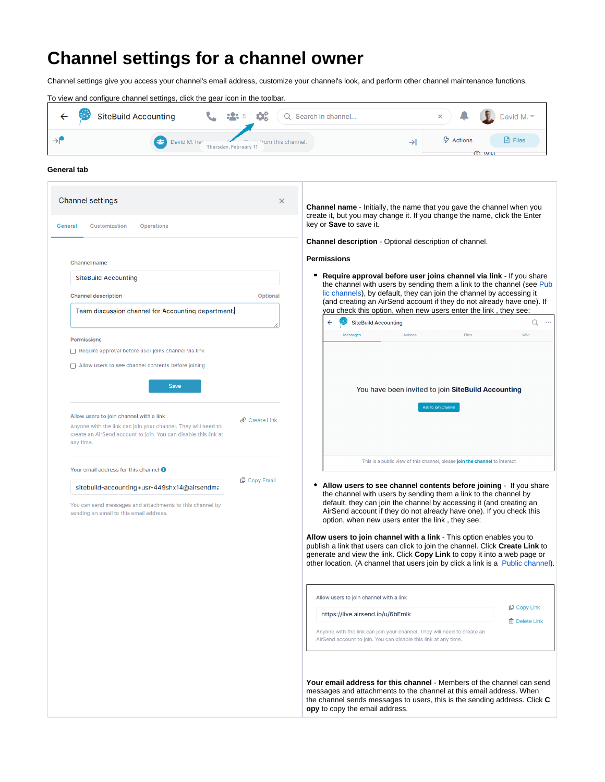## **Channel settings for a channel owner**

Channel settings give you access your channel's email address, customize your channel's look, and perform other channel maintenance functions.



## **General tab**

| <b>Channel settings</b><br>General<br>Customization<br>Operations                                                                                                                        | ×                         |   | <b>Channel name</b> - Initially, the name that you gave the channel when you<br>create it, but you may change it. If you change the name, click the Enter<br>key or Save to save it.                                                                                                                                                                                                                                                                                                                                                                                                                                                                                                                                                                                                                                                                                                          |                     |                                                                            |                                                 |
|------------------------------------------------------------------------------------------------------------------------------------------------------------------------------------------|---------------------------|---|-----------------------------------------------------------------------------------------------------------------------------------------------------------------------------------------------------------------------------------------------------------------------------------------------------------------------------------------------------------------------------------------------------------------------------------------------------------------------------------------------------------------------------------------------------------------------------------------------------------------------------------------------------------------------------------------------------------------------------------------------------------------------------------------------------------------------------------------------------------------------------------------------|---------------------|----------------------------------------------------------------------------|-------------------------------------------------|
|                                                                                                                                                                                          |                           |   | <b>Channel description</b> - Optional description of channel.                                                                                                                                                                                                                                                                                                                                                                                                                                                                                                                                                                                                                                                                                                                                                                                                                                 |                     |                                                                            |                                                 |
| <b>Channel name</b>                                                                                                                                                                      |                           |   | <b>Permissions</b>                                                                                                                                                                                                                                                                                                                                                                                                                                                                                                                                                                                                                                                                                                                                                                                                                                                                            |                     |                                                                            |                                                 |
| <b>SiteBuild Accounting</b>                                                                                                                                                              |                           |   | ■ Require approval before user joins channel via link - If you share                                                                                                                                                                                                                                                                                                                                                                                                                                                                                                                                                                                                                                                                                                                                                                                                                          |                     |                                                                            |                                                 |
| <b>Channel description</b>                                                                                                                                                               | Optional                  |   | the channel with users by sending them a link to the channel (see Pub<br>lic channels), by default, they can join the channel by accessing it                                                                                                                                                                                                                                                                                                                                                                                                                                                                                                                                                                                                                                                                                                                                                 |                     |                                                                            |                                                 |
| Team discussion channel for Accounting department.                                                                                                                                       |                           |   | (and creating an AirSend account if they do not already have one). If<br>you check this option, when new users enter the link, they see:                                                                                                                                                                                                                                                                                                                                                                                                                                                                                                                                                                                                                                                                                                                                                      |                     |                                                                            |                                                 |
|                                                                                                                                                                                          |                           |   | <b>SiteBuild Accounting</b><br>$\leftarrow$                                                                                                                                                                                                                                                                                                                                                                                                                                                                                                                                                                                                                                                                                                                                                                                                                                                   |                     |                                                                            | Q                                               |
| <b>Permissions</b>                                                                                                                                                                       |                           |   | <b>Messages</b>                                                                                                                                                                                                                                                                                                                                                                                                                                                                                                                                                                                                                                                                                                                                                                                                                                                                               | Actions             | Files                                                                      | Wiki                                            |
| Require approval before user joins channel via link                                                                                                                                      |                           |   |                                                                                                                                                                                                                                                                                                                                                                                                                                                                                                                                                                                                                                                                                                                                                                                                                                                                                               |                     |                                                                            |                                                 |
| Allow users to see channel contents before joining                                                                                                                                       |                           |   |                                                                                                                                                                                                                                                                                                                                                                                                                                                                                                                                                                                                                                                                                                                                                                                                                                                                                               |                     |                                                                            |                                                 |
| <b>Save</b>                                                                                                                                                                              |                           |   |                                                                                                                                                                                                                                                                                                                                                                                                                                                                                                                                                                                                                                                                                                                                                                                                                                                                                               |                     | You have been invited to join SiteBuild Accounting                         |                                                 |
|                                                                                                                                                                                          |                           |   |                                                                                                                                                                                                                                                                                                                                                                                                                                                                                                                                                                                                                                                                                                                                                                                                                                                                                               |                     |                                                                            |                                                 |
| Allow users to join channel with a link<br>Anyone with the link can join your channel. They will need to<br>create an AirSend account to join. You can disable this link at<br>any time. | $\mathcal{O}$ Create Link |   |                                                                                                                                                                                                                                                                                                                                                                                                                                                                                                                                                                                                                                                                                                                                                                                                                                                                                               | Ask to join channel |                                                                            |                                                 |
| Your email address for this channel <b>O</b>                                                                                                                                             |                           |   |                                                                                                                                                                                                                                                                                                                                                                                                                                                                                                                                                                                                                                                                                                                                                                                                                                                                                               |                     | This is a public view of this channel, please join the channel to interact |                                                 |
| sitebuild-accounting+usr-449shx14@airsendma<br>You can send messages and attachments to this channel by<br>sending an email to this email address.                                       | <b>Copy Email</b>         | ٠ | Allow users to see channel contents before joining - If you share<br>the channel with users by sending them a link to the channel by<br>default, they can join the channel by accessing it (and creating an<br>AirSend account if they do not already have one). If you check this<br>option, when new users enter the link, they see:<br>Allow users to join channel with a link - This option enables you to<br>publish a link that users can click to join the channel. Click Create Link to<br>generate and view the link. Click Copy Link to copy it into a web page or<br>other location. (A channel that users join by click a link is a Public channel).<br>Allow users to join channel with a link<br>https://live.airsend.io/u/6bEmlk<br>Anyone with the link can join your channel. They will need to create an<br>AirSend account to join. You can disable this link at any time. |                     |                                                                            | <b><i>Copy Link</i></b><br><b>m</b> Delete Link |
|                                                                                                                                                                                          |                           |   | Your email address for this channel - Members of the channel can send<br>messages and attachments to the channel at this email address. When<br>the channel sends messages to users, this is the sending address. Click C<br>opy to copy the email address.                                                                                                                                                                                                                                                                                                                                                                                                                                                                                                                                                                                                                                   |                     |                                                                            |                                                 |